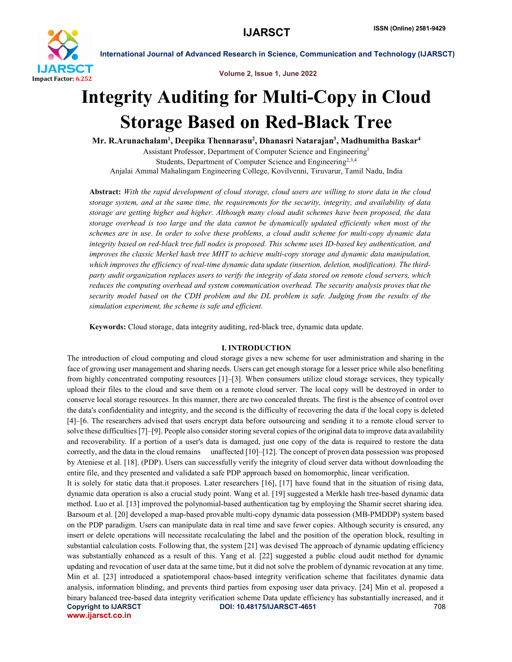

Volume 2, Issue 1, June 2022

# Integrity Auditing for Multi-Copy in Cloud Storage Based on Red-Black Tree

Mr. R.Arunachalam<sup>1</sup>, Deepika Thennarasu<sup>2</sup>, Dhanasri Natarajan<sup>3</sup>, Madhumitha Baskar<sup>4</sup>

Assistant Professor, Department of Computer Science and Engineering1 Students, Department of Computer Science and Engineering<sup>2,3,4</sup> Anjalai Ammal Mahalingam Engineering College, Kovilvenni, Tiruvarur, Tamil Nadu, India

Abstract: *With the rapid development of cloud storage, cloud users are willing to store data in the cloud storage system, and at the same time, the requirements for the security, integrity, and availability of data storage are getting higher and higher. Although many cloud audit schemes have been proposed, the data storage overhead is too large and the data cannot be dynamically updated efficiently when most of the schemes are in use. In order to solve these problems, a cloud audit scheme for multi-copy dynamic data integrity based on red-black tree full nodes is proposed. This scheme uses ID-based key authentication, and improves the classic Merkel hash tree MHT to achieve multi-copy storage and dynamic data manipulation, which improves the efficiency of real-time dynamic data update (insertion, deletion, modification). The thirdparty audit organization replaces users to verify the integrity of data stored on remote cloud servers, which reduces the computing overhead and system communication overhead. The security analysis proves that the security model based on the CDH problem and the DL problem is safe. Judging from the results of the simulation experiment, the scheme is safe and efficient.*

Keywords: Cloud storage, data integrity auditing, red-black tree, dynamic data update.

# I. INTRODUCTION

The introduction of cloud computing and cloud storage gives a new scheme for user administration and sharing in the face of growing user management and sharing needs. Users can get enough storage for a lesser price while also benefiting from highly concentrated computing resources [1]–[3]. When consumers utilize cloud storage services, they typically upload their files to the cloud and save them on a remote cloud server. The local copy will be destroyed in order to conserve local storage resources. In this manner, there are two concealed threats. The first is the absence of control over the data's confidentiality and integrity, and the second is the difficulty of recovering the data if the local copy is deleted [4]–[6. The researchers advised that users encrypt data before outsourcing and sending it to a remote cloud server to solve these difficulties [7]–[9]. People also consider storing several copies of the original data to improve data availability and recoverability. If a portion of a user's data is damaged, just one copy of the data is required to restore the data correctly, and the data in the cloud remains unaffected [10]–[12]. The concept of proven data possession was proposed by Ateniese et al. [18]. (PDP). Users can successfully verify the integrity of cloud server data without downloading the entire file, and they presented and validated a safe PDP approach based on homomorphic, linear verification.

Copyright to IJARSCT DOI: 10.48175/IJARSCT-4651 708 www.ijarsct.co.in It is solely for static data that.it proposes. Later researchers [16], [17] have found that in the situation of rising data, dynamic data operation is also a crucial study point. Wang et al. [19] suggested a Merkle hash tree-based dynamic data method. Luo et al. [13] improved the polynomial-based authentication tag by employing the Shamir secret sharing idea. Barsoum et al. [20] developed a map-based provable multi-copy dynamic data possession (MB-PMDDP) system based on the PDP paradigm. Users can manipulate data in real time and save fewer copies. Although security is ensured, any insert or delete operations will necessitate recalculating the label and the position of the operation block, resulting in substantial calculation costs. Following that, the system [21] was devised The approach of dynamic updating efficiency was substantially enhanced as a result of this. Yang et al. [22] suggested a public cloud audit method for dynamic updating and revocation of user data at the same time, but it did not solve the problem of dynamic revocation at any time. Min et al. [23] introduced a spatiotemporal chaos-based integrity verification scheme that facilitates dynamic data analysis, information blinding, and prevents third parties from exposing user data privacy. [24] Min et al. proposed a binary balanced tree-based data integrity verification scheme Data update efficiency has substantially increased, and it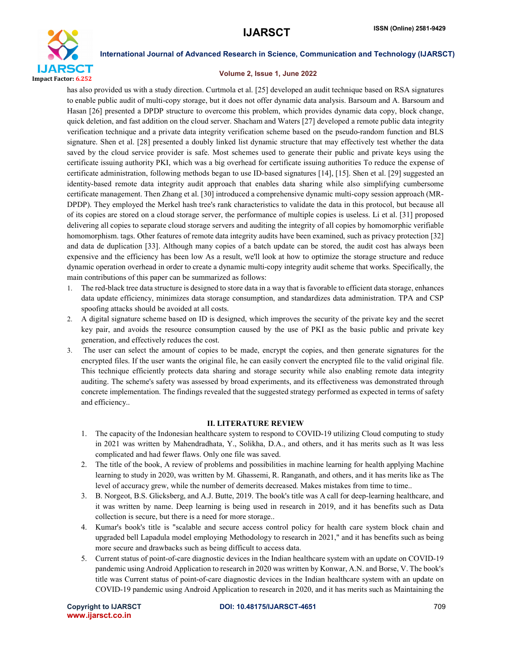

### Volume 2, Issue 1, June 2022

has also provided us with a study direction. Curtmola et al. [25] developed an audit technique based on RSA signatures to enable public audit of multi-copy storage, but it does not offer dynamic data analysis. Barsoum and A. Barsoum and Hasan [26] presented a DPDP structure to overcome this problem, which provides dynamic data copy, block change, quick deletion, and fast addition on the cloud server. Shacham and Waters [27] developed a remote public data integrity verification technique and a private data integrity verification scheme based on the pseudo-random function and BLS signature. Shen et al. [28] presented a doubly linked list dynamic structure that may effectively test whether the data saved by the cloud service provider is safe. Most schemes used to generate their public and private keys using the certificate issuing authority PKI, which was a big overhead for certificate issuing authorities To reduce the expense of certificate administration, following methods began to use ID-based signatures [14], [15]. Shen et al. [29] suggested an identity-based remote data integrity audit approach that enables data sharing while also simplifying cumbersome certificate management. Then Zhang et al. [30] introduced a comprehensive dynamic multi-copy session approach (MR-DPDP). They employed the Merkel hash tree's rank characteristics to validate the data in this protocol, but because all of its copies are stored on a cloud storage server, the performance of multiple copies is useless. Li et al. [31] proposed delivering all copies to separate cloud storage servers and auditing the integrity of all copies by homomorphic verifiable homomorphism. tags. Other features of remote data integrity audits have been examined, such as privacy protection [32] and data de duplication [33]. Although many copies of a batch update can be stored, the audit cost has always been expensive and the efficiency has been low As a result, we'll look at how to optimize the storage structure and reduce dynamic operation overhead in order to create a dynamic multi-copy integrity audit scheme that works. Specifically, the main contributions of this paper can be summarized as follows:

- 1. The red-black tree data structure is designed to store data in a way that is favorable to efficient data storage, enhances data update efficiency, minimizes data storage consumption, and standardizes data administration. TPA and CSP spoofing attacks should be avoided at all costs.
- 2. A digital signature scheme based on ID is designed, which improves the security of the private key and the secret key pair, and avoids the resource consumption caused by the use of PKI as the basic public and private key generation, and effectively reduces the cost.
- 3. The user can select the amount of copies to be made, encrypt the copies, and then generate signatures for the encrypted files. If the user wants the original file, he can easily convert the encrypted file to the valid original file. This technique efficiently protects data sharing and storage security while also enabling remote data integrity auditing. The scheme's safety was assessed by broad experiments, and its effectiveness was demonstrated through concrete implementation. The findings revealed that the suggested strategy performed as expected in terms of safety and efficiency..

### II. LITERATURE REVIEW

- 1. The capacity of the Indonesian healthcare system to respond to COVID-19 utilizing Cloud computing to study in 2021 was written by Mahendradhata, Y., Solikha, D.A., and others, and it has merits such as It was less complicated and had fewer flaws. Only one file was saved.
- 2. The title of the book, A review of problems and possibilities in machine learning for health applying Machine learning to study in 2020, was written by M. Ghassemi, R. Ranganath, and others, and it has merits like as The level of accuracy grew, while the number of demerits decreased. Makes mistakes from time to time..
- 3. B. Norgeot, B.S. Glicksberg, and A.J. Butte, 2019. The book's title was A call for deep-learning healthcare, and it was written by name. Deep learning is being used in research in 2019, and it has benefits such as Data collection is secure, but there is a need for more storage..
- 4. Kumar's book's title is "scalable and secure access control policy for health care system block chain and upgraded bell Lapadula model employing Methodology to research in 2021," and it has benefits such as being more secure and drawbacks such as being difficult to access data.
- 5. Current status of point-of-care diagnostic devices in the Indian healthcare system with an update on COVID-19 pandemic using Android Application to research in 2020 was written by Konwar, A.N. and Borse, V. The book's title was Current status of point-of-care diagnostic devices in the Indian healthcare system with an update on COVID-19 pandemic using Android Application to research in 2020, and it has merits such as Maintaining the

www.ijarsct.co.in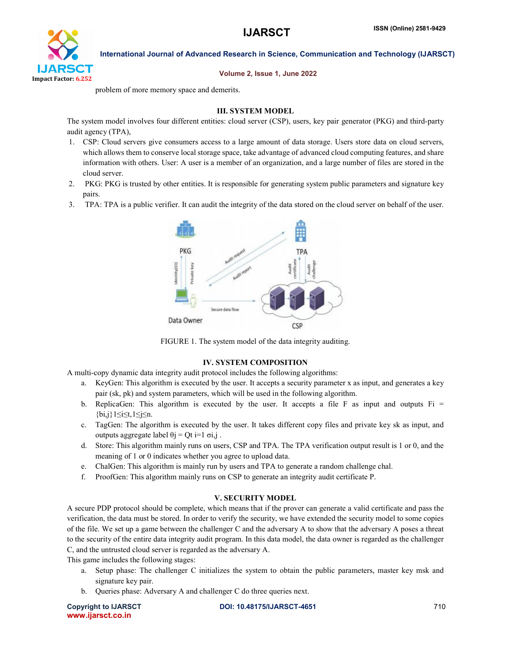

Volume 2, Issue 1, June 2022

problem of more memory space and demerits.

# III. SYSTEM MODEL

The system model involves four different entities: cloud server (CSP), users, key pair generator (PKG) and third-party audit agency (TPA),

- 1. CSP: Cloud servers give consumers access to a large amount of data storage. Users store data on cloud servers, which allows them to conserve local storage space, take advantage of advanced cloud computing features, and share information with others. User: A user is a member of an organization, and a large number of files are stored in the cloud server.
- 2. PKG: PKG is trusted by other entities. It is responsible for generating system public parameters and signature key pairs.
- 3. TPA: TPA is a public verifier. It can audit the integrity of the data stored on the cloud server on behalf of the user.



FIGURE 1. The system model of the data integrity auditing.

# IV. SYSTEM COMPOSITION

A multi-copy dynamic data integrity audit protocol includes the following algorithms:

- a. KeyGen: This algorithm is executed by the user. It accepts a security parameter x as input, and generates a key pair (sk, pk) and system parameters, which will be used in the following algorithm.
- b. ReplicaGen: This algorithm is executed by the user. It accepts a file F as input and outputs  $Fi =$ {bi,j}1≤i≤t,1≤j≤n.
- c. TagGen: The algorithm is executed by the user. It takes different copy files and private key sk as input, and outputs aggregate label θj = Qt i=1  $\sigma i$ , j.
- d. Store: This algorithm mainly runs on users, CSP and TPA. The TPA verification output result is 1 or 0, and the meaning of 1 or 0 indicates whether you agree to upload data.
- e. ChalGen: This algorithm is mainly run by users and TPA to generate a random challenge chal.
- f. ProofGen: This algorithm mainly runs on CSP to generate an integrity audit certificate P.

# V. SECURITY MODEL

A secure PDP protocol should be complete, which means that if the prover can generate a valid certificate and pass the verification, the data must be stored. In order to verify the security, we have extended the security model to some copies of the file. We set up a game between the challenger C and the adversary A to show that the adversary A poses a threat to the security of the entire data integrity audit program. In this data model, the data owner is regarded as the challenger C, and the untrusted cloud server is regarded as the adversary A.

This game includes the following stages:

- a. Setup phase: The challenger C initializes the system to obtain the public parameters, master key msk and signature key pair.
- b. Queries phase: Adversary A and challenger C do three queries next.

www.ijarsct.co.in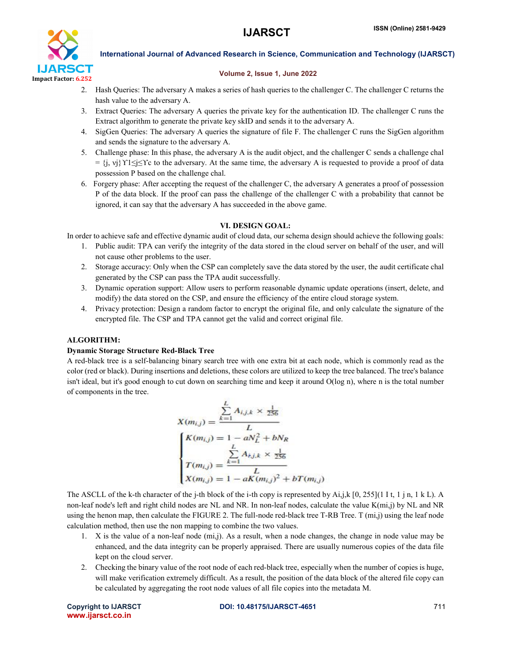

#### Volume 2, Issue 1, June 2022

- 2. Hash Queries: The adversary A makes a series of hash queries to the challenger C. The challenger C returns the hash value to the adversary A.
- 3. Extract Queries: The adversary A queries the private key for the authentication ID. The challenger C runs the Extract algorithm to generate the private key skID and sends it to the adversary A.
- 4. SigGen Queries: The adversary A queries the signature of file F. The challenger C runs the SigGen algorithm and sends the signature to the adversary A.
- 5. Challenge phase: In this phase, the adversary A is the audit object, and the challenger C sends a challenge chal  $= \{j, vj\}$   $\gamma_1 \leq j \leq \gamma_c$  to the adversary. At the same time, the adversary A is requested to provide a proof of data possession P based on the challenge chal.
- 6. Forgery phase: After accepting the request of the challenger C, the adversary A generates a proof of possession P of the data block. If the proof can pass the challenge of the challenger C with a probability that cannot be ignored, it can say that the adversary A has succeeded in the above game.

# VI. DESIGN GOAL:

In order to achieve safe and effective dynamic audit of cloud data, our schema design should achieve the following goals:

- 1. Public audit: TPA can verify the integrity of the data stored in the cloud server on behalf of the user, and will not cause other problems to the user.
- 2. Storage accuracy: Only when the CSP can completely save the data stored by the user, the audit certificate chal generated by the CSP can pass the TPA audit successfully.
- 3. Dynamic operation support: Allow users to perform reasonable dynamic update operations (insert, delete, and modify) the data stored on the CSP, and ensure the efficiency of the entire cloud storage system.
- 4. Privacy protection: Design a random factor to encrypt the original file, and only calculate the signature of the encrypted file. The CSP and TPA cannot get the valid and correct original file.

# ALGORITHM:

### Dynamic Storage Structure Red-Black Tree

A red-black tree is a self-balancing binary search tree with one extra bit at each node, which is commonly read as the color (red or black). During insertions and deletions, these colors are utilized to keep the tree balanced. The tree's balance isn't ideal, but it's good enough to cut down on searching time and keep it around O(log n), where n is the total number of components in the tree.

$$
X(m_{i,j}) = \frac{\sum_{k=1}^{L} A_{i,j,k} \times \frac{1}{256}}{L}
$$
  

$$
\begin{cases} K(m_{i,j}) = 1 - aN_L^2 + bN_R \\ \sum_{k=1}^{L} A_{i,j,k} \times \frac{1}{256} \\ T(m_{i,j}) = \frac{L}{L} \\ X(m_{i,j}) = 1 - aK(m_{i,j})^2 + bT(m_{i,j}) \end{cases}
$$

The ASCLL of the k-th character of the j-th block of the i-th copy is represented by  $Ai, j, k [0, 255](11t, 1 j n, 1 k L)$ . A non-leaf node's left and right child nodes are NL and NR. In non-leaf nodes, calculate the value K(mi,j) by NL and NR using the henon map, then calculate the FIGURE 2. The full-node red-black tree T-RB Tree. T (mi,j) using the leaf node calculation method, then use the non mapping to combine the two values.

- 1. X is the value of a non-leaf node (mi,j). As a result, when a node changes, the change in node value may be enhanced, and the data integrity can be properly appraised. There are usually numerous copies of the data file kept on the cloud server.
- 2. Checking the binary value of the root node of each red-black tree, especially when the number of copies is huge, will make verification extremely difficult. As a result, the position of the data block of the altered file copy can be calculated by aggregating the root node values of all file copies into the metadata M.

www.ijarsct.co.in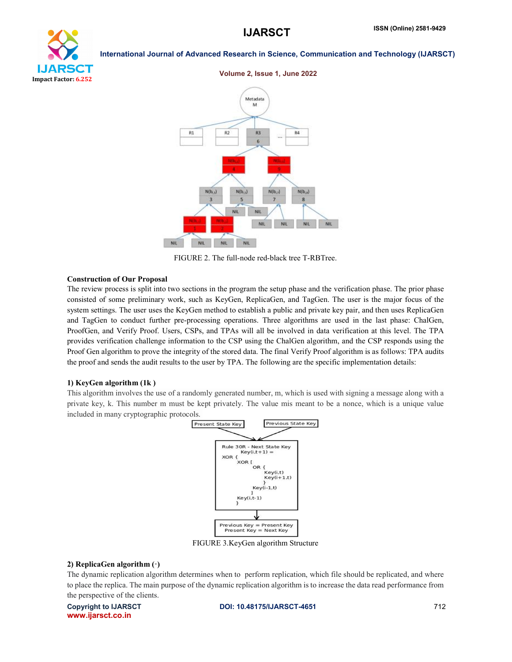



FIGURE 2. The full-node red-black tree T-RBTree.

#### Construction of Our Proposal

The review process is split into two sections in the program the setup phase and the verification phase. The prior phase consisted of some preliminary work, such as KeyGen, ReplicaGen, and TagGen. The user is the major focus of the system settings. The user uses the KeyGen method to establish a public and private key pair, and then uses ReplicaGen and TagGen to conduct further pre-processing operations. Three algorithms are used in the last phase: ChalGen, ProofGen, and Verify Proof. Users, CSPs, and TPAs will all be involved in data verification at this level. The TPA provides verification challenge information to the CSP using the ChalGen algorithm, and the CSP responds using the Proof Gen algorithm to prove the integrity of the stored data. The final Verify Proof algorithm is as follows: TPA audits the proof and sends the audit results to the user by TPA. The following are the specific implementation details:

#### 1) KeyGen algorithm (1k )

This algorithm involves the use of a randomly generated number, m, which is used with signing a message along with a private key, k. This number m must be kept privately. The value mis meant to be a nonce, which is a unique value included in many cryptographic protocols.



FIGURE 3.KeyGen algorithm Structure

#### 2) ReplicaGen algorithm (·)

The dynamic replication algorithm determines when to perform replication, which file should be replicated, and where to place the replica. The main purpose of the dynamic replication algorithm is to increase the data read performance from the perspective of the clients.

www.ijarsct.co.in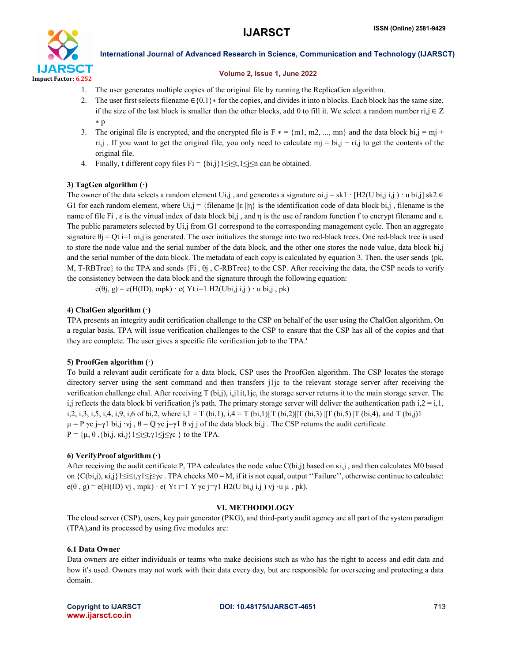

### Volume 2, Issue 1, June 2022

- 1. The user generates multiple copies of the original file by running the ReplicaGen algorithm.
- 2. The user first selects filename  $\in \{0,1\}^*$  for the copies, and divides it into n blocks. Each block has the same size, if the size of the last block is smaller than the other blocks, add 0 to fill it. We select a random number ri,j  $\in \mathbb{Z}$ ∗ p
- 3. The original file is encrypted, and the encrypted file is  $F * = \{m1, m2, ..., mn\}$  and the data block bi,j = mj + ri,j . If you want to get the original file, you only need to calculate mj = bi,j − ri,j to get the contents of the original file.
- 4. Finally, t different copy files  $Fi = \{bi, j\} 1 \le i \le t, 1 \le j \le n$  can be obtained.

# 3) TagGen algorithm  $(·)$

The owner of the data selects a random element Ui,j, and generates a signature  $\sigma i$ ,j = sk1 · [H2(U bi,j i,j) · u bi,j] sk2  $\in$ G1 for each random element, where Ui,j = {filename  $\|\varepsilon\|$ η} is the identification code of data block bi,j, filename is the name of file Fi,  $\varepsilon$  is the virtual index of data block bi,j, and  $\eta$  is the use of random function f to encrypt filename and  $\varepsilon$ . The public parameters selected by Ui,j from G1 correspond to the corresponding management cycle. Then an aggregate signature  $\theta$ j = Qt i=1  $\sigma$ i,j is generated. The user initializes the storage into two red-black trees. One red-black tree is used to store the node value and the serial number of the data block, and the other one stores the node value, data block bi,j and the serial number of the data block. The metadata of each copy is calculated by equation 3. Then, the user sends {pk, M, T-RBTree} to the TPA and sends {Fi , θj , C-RBTree} to the CSP. After receiving the data, the CSP needs to verify the consistency between the data block and the signature through the following equation:

 $e(\theta j, g) = e(H(ID), mpk) \cdot e(Yt i=1 H2(Ubi, j i, j) \cdot u bi, j, pk)$ 

# 4) ChalGen algorithm  $(·)$

TPA presents an integrity audit certification challenge to the CSP on behalf of the user using the ChalGen algorithm. On a regular basis, TPA will issue verification challenges to the CSP to ensure that the CSP has all of the copies and that they are complete. The user gives a specific file verification job to the TPA.'

# 5) ProofGen algorithm (·)

To build a relevant audit certificate for a data block, CSP uses the ProofGen algorithm. The CSP locates the storage directory server using the sent command and then transfers j1jc to the relevant storage server after receiving the verification challenge chal. After receiving T (bi,j), i,j1it,1jc, the storage server returns it to the main storage server. The i,j reflects the data block bi verification j's path. The primary storage server will deliver the authentication path i, $2 = i, 1$ , i,2, i,3, i,5, i,4, i,9, i,6 of bi,2, where i,1 = T (bi,1), i,4 = T (bi,1)||T (bi,2)||T (bi,3)||T (bi,5)||T (bi,4), and T (bi,j)1  $\mu = P \gamma c$  j=γ1 bi,j ·vj ,  $\theta = Q \gamma c$  j=γ1  $\theta$  vj j of the data block bi,j. The CSP returns the audit certificate P = {μ, θ, {bi,j, κi,j} 1≤i≤t,γ1≤j≤γc } to the TPA.

# 6) VerifyProof algorithm (·)

After receiving the audit certificate P, TPA calculates the node value C(bi,j) based on κi,j , and then calculates M0 based on {C(bi,j), κi,j}1≤i≤t,γ1≤j≤γc . TPA checks M0 = M, if it is not equal, output ''Failure'', otherwise continue to calculate:  $e(\theta, g) = e(H(ID) vj, mpk) \cdot e(Yt i=1 Y yc j=γ1 H2(U bi, j i, j) vj \cdot u \mu, pk).$ 

# VI. METHODOLOGY

The cloud server (CSP), users, key pair generator (PKG), and third-party audit agency are all part of the system paradigm (TPA),and its processed by using five modules are:

# 6.1 Data Owner

Data owners are either individuals or teams who make decisions such as who has the right to access and edit data and how it's used. Owners may not work with their data every day, but are responsible for overseeing and protecting a data domain.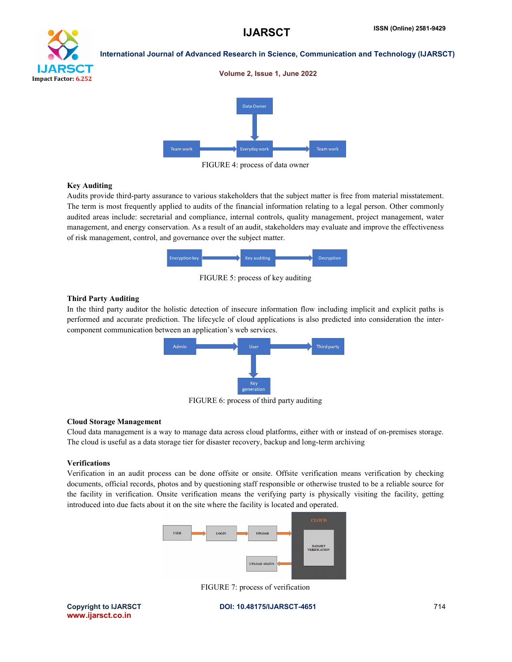Volume 2, Issue 1, June 2022



### International Journal of Advanced Research in Science, Communication and Technology (IJARSCT)



FIGURE 4: process of data owner

#### Key Auditing

Audits provide third-party assurance to various stakeholders that the subject matter is free from material misstatement. The term is most frequently applied to audits of the financial information relating to a legal person. Other commonly audited areas include: secretarial and compliance, internal controls, quality management, project management, water management, and energy conservation. As a result of an audit, stakeholders may evaluate and improve the effectiveness of risk management, control, and governance over the subject matter.



FIGURE 5: process of key auditing

#### Third Party Auditing

In the third party auditor the holistic detection of insecure information flow including implicit and explicit paths is performed and accurate prediction. The lifecycle of cloud applications is also predicted into consideration the intercomponent communication between an application's web services.



FIGURE 6: process of third party auditing

### Cloud Storage Management

Cloud data management is a way to manage data across cloud platforms, either with or instead of on-premises storage. The cloud is useful as a data storage tier for disaster recovery, backup and long-term archiving

#### Verifications

Verification in an audit process can be done offsite or onsite. Offsite verification means verification by checking documents, official records, photos and by questioning staff responsible or otherwise trusted to be a reliable source for the facility in verification. Onsite verification means the verifying party is physically visiting the facility, getting introduced into due facts about it on the site where the facility is located and operated.



FIGURE 7: process of verification

www.ijarsct.co.in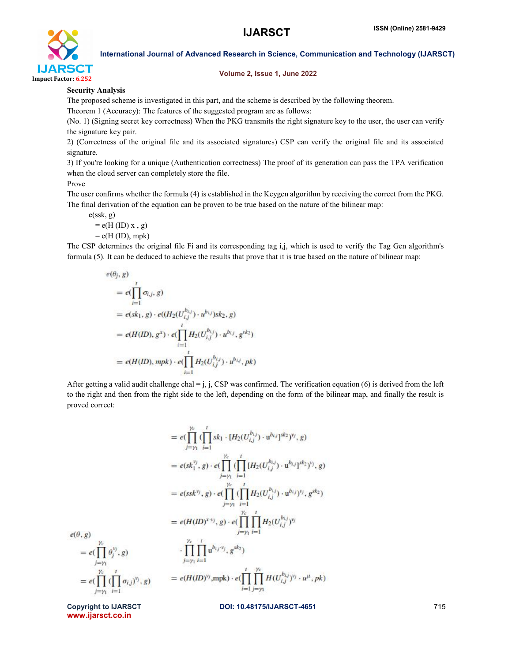

#### Volume 2, Issue 1, June 2022

### Security Analysis

The proposed scheme is investigated in this part, and the scheme is described by the following theorem.

Theorem 1 (Accuracy): The features of the suggested program are as follows:

(No. 1) (Signing secret key correctness) When the PKG transmits the right signature key to the user, the user can verify the signature key pair.

2) (Correctness of the original file and its associated signatures) CSP can verify the original file and its associated signature.

3) If you're looking for a unique (Authentication correctness) The proof of its generation can pass the TPA verification when the cloud server can completely store the file.

#### Prove

The user confirms whether the formula (4) is established in the Keygen algorithm by receiving the correct from the PKG. The final derivation of the equation can be proven to be true based on the nature of the bilinear map:

e(ssk, g)

$$
= e(H (ID) x , g)
$$

 $= e(H (ID), mpk)$ 

The CSP determines the original file Fi and its corresponding tag i,j, which is used to verify the Tag Gen algorithm's formula (5). It can be deduced to achieve the results that prove that it is true based on the nature of bilinear map:

$$
e(\theta_j, g)
$$
  
=  $e(\prod_{i=1}^t \sigma_{i,j}, g)$   
=  $e(sk_1, g) \cdot e((H_2(U_{i,j}^{b_{i,j}}) \cdot u^{b_{i,j}})sk_2, g)$   
=  $e(H(ID), g^x) \cdot e(\prod_{i=1}^t H_2(U_{i,j}^{b_{i,j}}) \cdot u^{b_{i,j}}, g^{sk_2})$   
=  $e(H(ID), mpk) \cdot e(\prod_{i=1}^t H_2(U_{i,j}^{b_{i,j}}) \cdot u^{b_{i,j}}, pk)$ 

After getting a valid audit challenge chal = j, j, CSP was confirmed. The verification equation (6) is derived from the left to the right and then from the right side to the left, depending on the form of the bilinear map, and finally the result is proved correct:

$$
= e(\prod_{j=\gamma_1}^{y_c} \prod_{i=1}^{l} sk_1 \cdot [H_2(U_{i,j}^{b_{i,j}}) \cdot u^{b_{i,j}}]^{sk_2})^{v_j}, g)
$$
  
\n
$$
= e(sk_1^{v_j}, g) \cdot e(\prod_{j=\gamma_1}^{y_c} \prod_{i=1}^{l} [H_2(U_{i,j}^{b_{i,j}}) \cdot u^{b_{i,j}}]^{sk_2})^{v_j}, g)
$$
  
\n
$$
= e(ssk^{v_j}, g) \cdot e(\prod_{j=\gamma_1}^{y_c} \prod_{i=1}^{l} H_2(U_{i,j}^{b_{i,j}}) \cdot u^{b_{i,j}})^{v_j}, g^{sk_2})
$$
  
\n
$$
= e(HID)^{x \cdot v_j}, g) \cdot e(\prod_{j=\gamma_1}^{y_c} \prod_{i=1}^{l} H_2(U_{i,j}^{b_{i,j}})^{v_j})
$$
  
\n
$$
= e(\prod_{j=\gamma_1}^{y_c} \theta_j^{v_j}, g)
$$
  
\n
$$
= \prod_{j=\gamma_1}^{y_c} \prod_{i=1}^{l} u^{b_{i,j} \cdot v_j}, g^{sk_2})
$$
  
\n
$$
= e(\prod_{j=\gamma_1}^{y_c} (\prod_{i=1}^{l} \sigma_{i,j})^{v_j}, g)
$$
  
\n
$$
= e(H(ID)^{v_j}, mpk) \cdot e(\prod_{i=1}^{l} \prod_{j=\gamma_1}^{y_c} H(U_{i,j}^{b_{i,j}})^{v_j} \cdot u^{\mu}, pk)
$$

 $e(\theta, g)$ 

www.ijarsct.co.in

 $= e\left(\prod_{i=1}^{\gamma_c}\right)$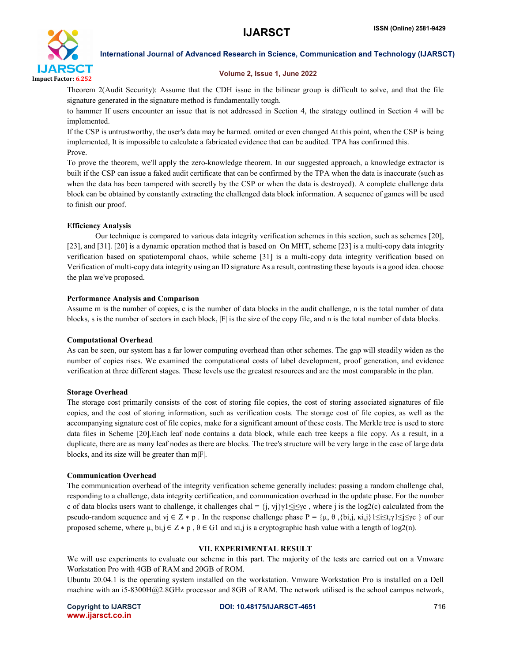

#### Volume 2, Issue 1, June 2022

Theorem 2(Audit Security): Assume that the CDH issue in the bilinear group is difficult to solve, and that the file signature generated in the signature method is fundamentally tough.

to hammer If users encounter an issue that is not addressed in Section 4, the strategy outlined in Section 4 will be implemented.

If the CSP is untrustworthy, the user's data may be harmed. omited or even changed At this point, when the CSP is being implemented, It is impossible to calculate a fabricated evidence that can be audited. TPA has confirmed this. Prove.

To prove the theorem, we'll apply the zero-knowledge theorem. In our suggested approach, a knowledge extractor is built if the CSP can issue a faked audit certificate that can be confirmed by the TPA when the data is inaccurate (such as when the data has been tampered with secretly by the CSP or when the data is destroyed). A complete challenge data block can be obtained by constantly extracting the challenged data block information. A sequence of games will be used to finish our proof.

# Efficiency Analysis

Our technique is compared to various data integrity verification schemes in this section, such as schemes [20], [23], and [31]. [20] is a dynamic operation method that is based on On MHT, scheme [23] is a multi-copy data integrity verification based on spatiotemporal chaos, while scheme [31] is a multi-copy data integrity verification based on Verification of multi-copy data integrity using an ID signature As a result, contrasting these layouts is a good idea. choose the plan we've proposed.

### Performance Analysis and Comparison

Assume m is the number of copies, c is the number of data blocks in the audit challenge, n is the total number of data blocks, s is the number of sectors in each block,  $|F|$  is the size of the copy file, and n is the total number of data blocks.

### Computational Overhead

As can be seen, our system has a far lower computing overhead than other schemes. The gap will steadily widen as the number of copies rises. We examined the computational costs of label development, proof generation, and evidence verification at three different stages. These levels use the greatest resources and are the most comparable in the plan.

### Storage Overhead

The storage cost primarily consists of the cost of storing file copies, the cost of storing associated signatures of file copies, and the cost of storing information, such as verification costs. The storage cost of file copies, as well as the accompanying signature cost of file copies, make for a significant amount of these costs. The Merkle tree is used to store data files in Scheme [20].Each leaf node contains a data block, while each tree keeps a file copy. As a result, in a duplicate, there are as many leaf nodes as there are blocks. The tree's structure will be very large in the case of large data blocks, and its size will be greater than m|F|.

### Communication Overhead

The communication overhead of the integrity verification scheme generally includes: passing a random challenge chal, responding to a challenge, data integrity certification, and communication overhead in the update phase. For the number c of data blocks users want to challenge, it challenges chal =  $\{j, vj\}\gamma1 \leq j \leq v$ , where j is the log2(c) calculated from the pseudo-random sequence and  $y_j \in Z * p$ . In the response challenge phase  $P = \{\mu, \theta, \{\text{bi}, j, \text{ki}, j\} \mid 1 \leq i \leq t, \gamma \mid 1 \leq j \leq j \leq r\}$  of our proposed scheme, where  $\mu$ ,  $bi, j \in Z * p$ ,  $\theta \in G1$  and  $k, j$  is a cryptographic hash value with a length of log2(n).

# VII. EXPERIMENTAL RESULT

We will use experiments to evaluate our scheme in this part. The majority of the tests are carried out on a Vmware Workstation Pro with 4GB of RAM and 20GB of ROM.

Ubuntu 20.04.1 is the operating system installed on the workstation. Vmware Workstation Pro is installed on a Dell machine with an i5-8300H@2.8GHz processor and 8GB of RAM. The network utilised is the school campus network,

www.ijarsct.co.in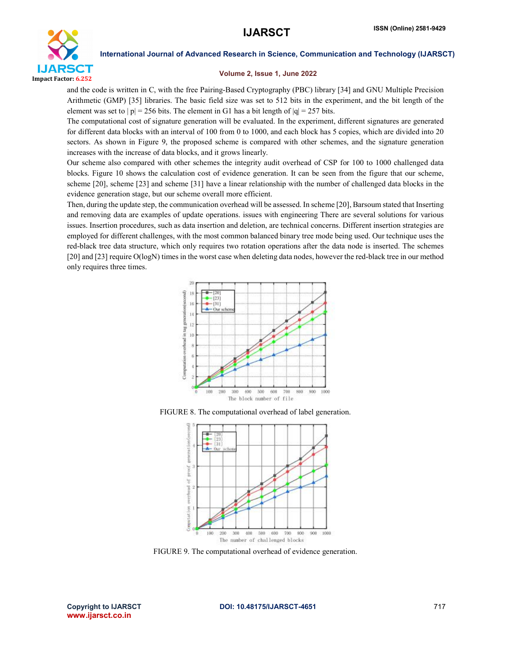

#### Volume 2, Issue 1, June 2022

and the code is written in C, with the free Pairing-Based Cryptography (PBC) library [34] and GNU Multiple Precision Arithmetic (GMP) [35] libraries. The basic field size was set to 512 bits in the experiment, and the bit length of the element was set to  $|p| = 256$  bits. The element in G1 has a bit length of  $|q| = 257$  bits.

The computational cost of signature generation will be evaluated. In the experiment, different signatures are generated for different data blocks with an interval of 100 from 0 to 1000, and each block has 5 copies, which are divided into 20 sectors. As shown in Figure 9, the proposed scheme is compared with other schemes, and the signature generation increases with the increase of data blocks, and it grows linearly.

Our scheme also compared with other schemes the integrity audit overhead of CSP for 100 to 1000 challenged data blocks. Figure 10 shows the calculation cost of evidence generation. It can be seen from the figure that our scheme, scheme [20], scheme [23] and scheme [31] have a linear relationship with the number of challenged data blocks in the evidence generation stage, but our scheme overall more efficient.

Then, during the update step, the communication overhead will be assessed. In scheme [20], Barsoum stated that Inserting and removing data are examples of update operations. issues with engineering There are several solutions for various issues. Insertion procedures, such as data insertion and deletion, are technical concerns. Different insertion strategies are employed for different challenges, with the most common balanced binary tree mode being used. Our technique uses the red-black tree data structure, which only requires two rotation operations after the data node is inserted. The schemes [20] and [23] require O(logN) times in the worst case when deleting data nodes, however the red-black tree in our method only requires three times.







FIGURE 9. The computational overhead of evidence generation.

www.ijarsct.co.in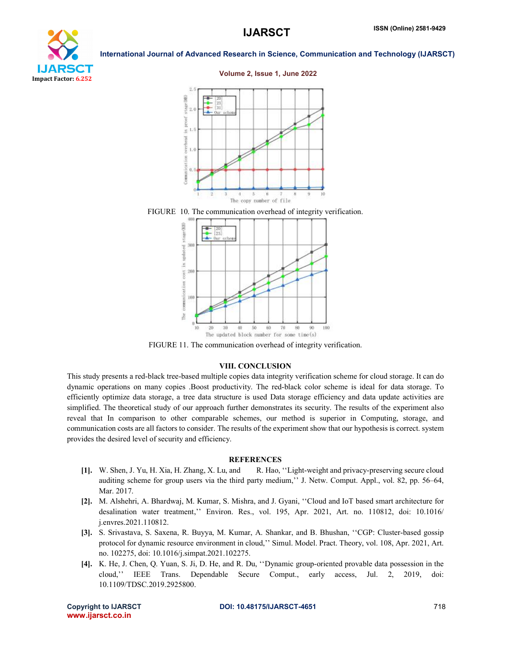

#### Volume 2, Issue 1, June 2022







FIGURE 11. The communication overhead of integrity verification.

#### VIII. CONCLUSION

This study presents a red-black tree-based multiple copies data integrity verification scheme for cloud storage. It can do dynamic operations on many copies .Boost productivity. The red-black color scheme is ideal for data storage. To efficiently optimize data storage, a tree data structure is used Data storage efficiency and data update activities are simplified. The theoretical study of our approach further demonstrates its security. The results of the experiment also reveal that In comparison to other comparable schemes, our method is superior in Computing, storage, and communication costs are all factors to consider. The results of the experiment show that our hypothesis is correct. system provides the desired level of security and efficiency.

### **REFERENCES**

- [1]. W. Shen, J. Yu, H. Xia, H. Zhang, X. Lu, and R. Hao, ''Light-weight and privacy-preserving secure cloud auditing scheme for group users via the third party medium,'' J. Netw. Comput. Appl., vol. 82, pp. 56–64, Mar. 2017.
- [2]. M. Alshehri, A. Bhardwaj, M. Kumar, S. Mishra, and J. Gyani, ''Cloud and IoT based smart architecture for desalination water treatment,'' Environ. Res., vol. 195, Apr. 2021, Art. no. 110812, doi: 10.1016/ j.envres.2021.110812.
- [3]. S. Srivastava, S. Saxena, R. Buyya, M. Kumar, A. Shankar, and B. Bhushan, ''CGP: Cluster-based gossip protocol for dynamic resource environment in cloud,'' Simul. Model. Pract. Theory, vol. 108, Apr. 2021, Art. no. 102275, doi: 10.1016/j.simpat.2021.102275.
- [4]. K. He, J. Chen, Q. Yuan, S. Ji, D. He, and R. Du, ''Dynamic group-oriented provable data possession in the cloud,'' IEEE Trans. Dependable Secure Comput., early access, Jul. 2, 2019, doi: 10.1109/TDSC.2019.2925800.

www.ijarsct.co.in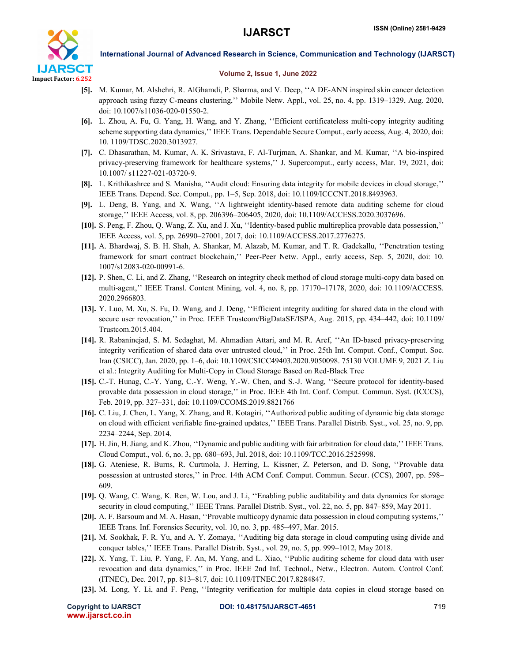

### Volume 2, Issue 1, June 2022

- [5]. M. Kumar, M. Alshehri, R. AlGhamdi, P. Sharma, and V. Deep, ''A DE-ANN inspired skin cancer detection approach using fuzzy C-means clustering,'' Mobile Netw. Appl., vol. 25, no. 4, pp. 1319–1329, Aug. 2020, doi: 10.1007/s11036-020-01550-2.
- [6]. L. Zhou, A. Fu, G. Yang, H. Wang, and Y. Zhang, ''Efficient certificateless multi-copy integrity auditing scheme supporting data dynamics,'' IEEE Trans. Dependable Secure Comput., early access, Aug. 4, 2020, doi: 10. 1109/TDSC.2020.3013927.
- [7]. C. Dhasarathan, M. Kumar, A. K. Srivastava, F. Al-Turjman, A. Shankar, and M. Kumar, ''A bio-inspired privacy-preserving framework for healthcare systems,'' J. Supercomput., early access, Mar. 19, 2021, doi: 10.1007/ s11227-021-03720-9.
- [8]. L. Krithikashree and S. Manisha, ''Audit cloud: Ensuring data integrity for mobile devices in cloud storage,'' IEEE Trans. Depend. Sec. Comput., pp. 1–5, Sep. 2018, doi: 10.1109/ICCCNT.2018.8493963.
- [9]. L. Deng, B. Yang, and X. Wang, ''A lightweight identity-based remote data auditing scheme for cloud storage,'' IEEE Access, vol. 8, pp. 206396–206405, 2020, doi: 10.1109/ACCESS.2020.3037696.
- [10]. S. Peng, F. Zhou, Q. Wang, Z. Xu, and J. Xu, ''Identity-based public multireplica provable data possession,'' IEEE Access, vol. 5, pp. 26990–27001, 2017, doi: 10.1109/ACCESS.2017.2776275.
- [11]. A. Bhardwaj, S. B. H. Shah, A. Shankar, M. Alazab, M. Kumar, and T. R. Gadekallu, ''Penetration testing framework for smart contract blockchain,'' Peer-Peer Netw. Appl., early access, Sep. 5, 2020, doi: 10. 1007/s12083-020-00991-6.
- [12]. P. Shen, C. Li, and Z. Zhang, ''Research on integrity check method of cloud storage multi-copy data based on multi-agent,'' IEEE Transl. Content Mining, vol. 4, no. 8, pp. 17170–17178, 2020, doi: 10.1109/ACCESS. 2020.2966803.
- [13]. Y. Luo, M. Xu, S. Fu, D. Wang, and J. Deng, ''Efficient integrity auditing for shared data in the cloud with secure user revocation,'' in Proc. IEEE Trustcom/BigDataSE/ISPA, Aug. 2015, pp. 434–442, doi: 10.1109/ Trustcom.2015.404.
- [14]. R. Rabaninejad, S. M. Sedaghat, M. Ahmadian Attari, and M. R. Aref, ''An ID-based privacy-preserving integrity verification of shared data over untrusted cloud,'' in Proc. 25th Int. Comput. Conf., Comput. Soc. Iran (CSICC), Jan. 2020, pp. 1–6, doi: 10.1109/CSICC49403.2020.9050098. 75130 VOLUME 9, 2021 Z. Liu et al.: Integrity Auditing for Multi-Copy in Cloud Storage Based on Red-Black Tree
- [15]. C.-T. Hunag, C.-Y. Yang, C.-Y. Weng, Y.-W. Chen, and S.-J. Wang, ''Secure protocol for identity-based provable data possession in cloud storage,'' in Proc. IEEE 4th Int. Conf. Comput. Commun. Syst. (ICCCS), Feb. 2019, pp. 327–331, doi: 10.1109/CCOMS.2019.8821766
- [16]. C. Liu, J. Chen, L. Yang, X. Zhang, and R. Kotagiri, ''Authorized public auditing of dynamic big data storage on cloud with efficient verifiable fine-grained updates,'' IEEE Trans. Parallel Distrib. Syst., vol. 25, no. 9, pp. 2234–2244, Sep. 2014.
- [17]. H. Jin, H. Jiang, and K. Zhou, ''Dynamic and public auditing with fair arbitration for cloud data,'' IEEE Trans. Cloud Comput., vol. 6, no. 3, pp. 680–693, Jul. 2018, doi: 10.1109/TCC.2016.2525998.
- [18]. G. Ateniese, R. Burns, R. Curtmola, J. Herring, L. Kissner, Z. Peterson, and D. Song, ''Provable data possession at untrusted stores,'' in Proc. 14th ACM Conf. Comput. Commun. Secur. (CCS), 2007, pp. 598– 609.
- [19]. Q. Wang, C. Wang, K. Ren, W. Lou, and J. Li, ''Enabling public auditability and data dynamics for storage security in cloud computing,'' IEEE Trans. Parallel Distrib. Syst., vol. 22, no. 5, pp. 847–859, May 2011.
- [20]. A. F. Barsoum and M. A. Hasan, ''Provable multicopy dynamic data possession in cloud computing systems,'' IEEE Trans. Inf. Forensics Security, vol. 10, no. 3, pp. 485–497, Mar. 2015.
- [21]. M. Sookhak, F. R. Yu, and A. Y. Zomaya, ''Auditing big data storage in cloud computing using divide and conquer tables,'' IEEE Trans. Parallel Distrib. Syst., vol. 29, no. 5, pp. 999–1012, May 2018.
- [22]. X. Yang, T. Liu, P. Yang, F. An, M. Yang, and L. Xiao, ''Public auditing scheme for cloud data with user revocation and data dynamics,'' in Proc. IEEE 2nd Inf. Technol., Netw., Electron. Autom. Control Conf. (ITNEC), Dec. 2017, pp. 813–817, doi: 10.1109/ITNEC.2017.8284847.
- [23]. M. Long, Y. Li, and F. Peng, ''Integrity verification for multiple data copies in cloud storage based on